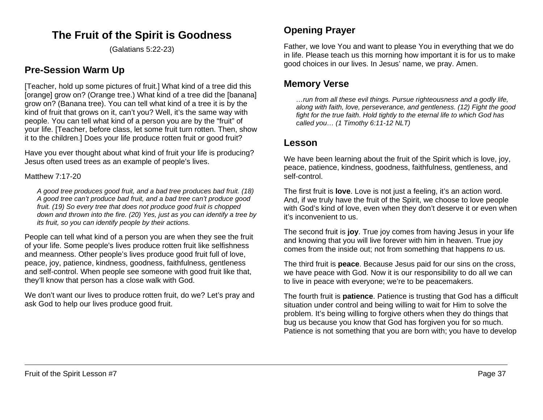# **The Fruit of the Spirit is Goodness**

(Galatians 5:22-23)

## **Pre-Session Warm Up**

[Teacher, hold up some pictures of fruit.] What kind of a tree did this [orange] grow on? (Orange tree.) What kind of a tree did the [banana] grow on? (Banana tree). You can tell what kind of a tree it is by the kind of fruit that grows on it, can't you? Well, it's the same way with people. You can tell what kind of a person you are by the "fruit" of your life. [Teacher, before class, let some fruit turn rotten. Then, show it to the children.] Does your life produce rotten fruit or good fruit?

Have you ever thought about what kind of fruit your life is producing? Jesus often used trees as an example of people's lives.

Matthew 7:17-20

*A good tree produces good fruit, and a bad tree produces bad fruit. (18) A good tree can't produce bad fruit, and a bad tree can't produce good fruit. (19) So every tree that does not produce good fruit is chopped down and thrown into the fire. (20) Yes, just as you can identify a tree by its fruit, so you can identify people by their actions.*

People can tell what kind of a person you are when they see the fruit of your life. Some people's lives produce rotten fruit like selfishness and meanness. Other people's lives produce good fruit full of love, peace, joy, patience, kindness, goodness, faithfulness, gentleness and self-control. When people see someone with good fruit like that, they'll know that person has a close walk with God.

We don't want our lives to produce rotten fruit, do we? Let's pray and ask God to help our lives produce good fruit.

# **Opening Prayer**

Father, we love You and want to please You in everything that we do in life. Please teach us this morning how important it is for us to make good choices in our lives. In Jesus' name, we pray. Amen.

# **Memory Verse**

*…run from all these evil things. Pursue righteousness and a godly life, along with faith, love, perseverance, and gentleness. (12) Fight the good fight for the true faith. Hold tightly to the eternal life to which God has called you… (1 Timothy 6:11-12 NLT)*

## **Lesson**

We have been learning about the fruit of the Spirit which is love, joy, peace, patience, kindness, goodness, faithfulness, gentleness, and self-control.

The first fruit is **love**. Love is not just a feeling, it's an action word. And, if we truly have the fruit of the Spirit, we choose to love people with God's kind of love, even when they don't deserve it or even when it's inconvenient to us.

The second fruit is **joy**. True joy comes from having Jesus in your life and knowing that you will live forever with him in heaven. True joy comes from the inside out; not from something that happens *to* us.

The third fruit is **peace**. Because Jesus paid for our sins on the cross, we have peace with God. Now it is our responsibility to do all we can to live in peace with everyone; we're to be peacemakers.

The fourth fruit is **patience**. Patience is trusting that God has a difficult situation under control and being willing to wait for Him to solve the problem. It's being willing to forgive others when they do things that bug us because you know that God has forgiven you for so much. Patience is not something that you are born with; you have to develop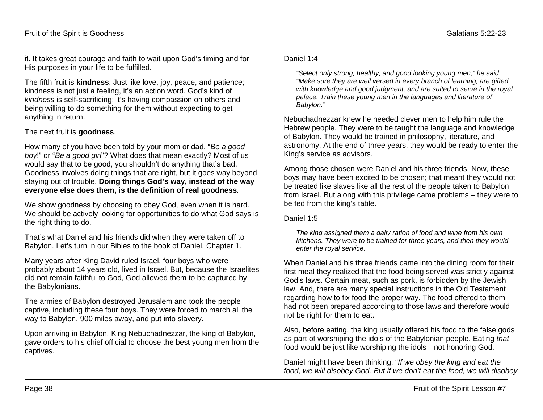it. It takes great courage and faith to wait upon God's timing and for His purposes in your life to be fulfilled.

The fifth fruit is **kindness**. Just like love, joy, peace, and patience; kindness is not just a feeling, it's an action word. God's kind of *kindness* is self-sacrificing; it's having compassion on others and being willing to do something for them without expecting to get anything in return.

### The next fruit is **goodness**.

How many of you have been told by your mom or dad, "*Be a good boy*!" or "*Be a good girl*"? What does that mean exactly? Most of us would say that to be good, you shouldn't do anything that's bad. Goodness involves doing things that are right, but it goes way beyond staying out of trouble. **Doing things God's way, instead of the way everyone else does them, is the definition of real goodness**.

We show goodness by choosing to obey God, even when it is hard. We should be actively looking for opportunities to do what God says is the right thing to do.

That's what Daniel and his friends did when they were taken off to Babylon. Let's turn in our Bibles to the book of Daniel, Chapter 1.

Many years after King David ruled Israel, four boys who were probably about 14 years old, lived in Israel. But, because the Israelites did not remain faithful to God, God allowed them to be captured by the Babylonians.

The armies of Babylon destroyed Jerusalem and took the people captive, including these four boys. They were forced to march all the way to Babylon, 900 miles away, and put into slavery.

Upon arriving in Babylon, King Nebuchadnezzar, the king of Babylon, gave orders to his chief official to choose the best young men from the captives.

#### Daniel 1:4

*"Select only strong, healthy, and good looking young men," he said. "Make sure they are well versed in every branch of learning, are gifted with knowledge and good judgment, and are suited to serve in the royal palace. Train these young men in the languages and literature of Babylon."*

Nebuchadnezzar knew he needed clever men to help him rule the Hebrew people. They were to be taught the language and knowledge of Babylon. They would be trained in philosophy, literature, and astronomy. At the end of three years, they would be ready to enter the King's service as advisors.

Among those chosen were Daniel and his three friends. Now, these boys may have been excited to be chosen; that meant they would not be treated like slaves like all the rest of the people taken to Babylon from Israel. But along with this privilege came problems – they were to be fed from the king's table.

Daniel 1:5

*The king assigned them a daily ration of food and wine from his own kitchens. They were to be trained for three years, and then they would enter the royal service.*

When Daniel and his three friends came into the dining room for their first meal they realized that the food being served was strictly against God's laws. Certain meat, such as pork, is forbidden by the Jewish law. And, there are many special instructions in the Old Testament regarding how to fix food the proper way. The food offered to them had not been prepared according to those laws and therefore would not be right for them to eat.

Also, before eating, the king usually offered his food to the false gods as part of worshiping the idols of the Babylonian people. Eating *that* food would be just like worshiping the idols—not honoring God.

Daniel might have been thinking, "*If we obey the king and eat the food, we will disobey God. But if we don't eat the food, we will disobey*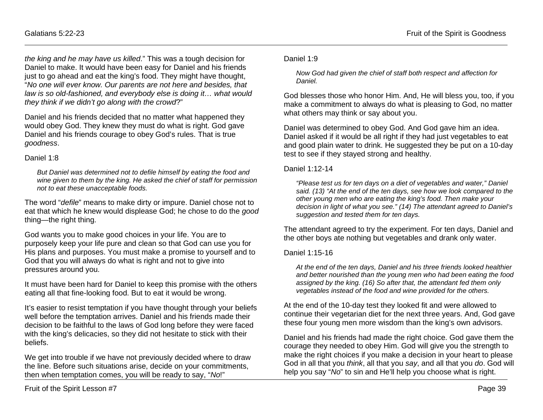*the king and he may have us killed*." This was a tough decision for Daniel to make. It would have been easy for Daniel and his friends just to go ahead and eat the king's food. They might have thought, "*No one will ever know. Our parents are not here and besides, that law is so old-fashioned, and everybody else is doing it… what would they think if we didn't go along with the crowd*?"

Daniel and his friends decided that no matter what happened they would obey God. They knew they must do what is right. God gave Daniel and his friends courage to obey God's rules. That is true *goodness*.

#### Daniel 1:8

*But Daniel was determined not to defile himself by eating the food and wine given to them by the king. He asked the chief of staff for permission not to eat these unacceptable foods.*

The word "*defile*" means to make dirty or impure. Daniel chose not to eat that which he knew would displease God; he chose to do the *good* thing—the right thing.

God wants you to make good choices in your life. You are to purposely keep your life pure and clean so that God can use you for His plans and purposes. You must make a promise to yourself and to God that you will always do what is right and not to give into pressures around you.

It must have been hard for Daniel to keep this promise with the others eating all that fine-looking food. But to eat it would be wrong.

It's easier to resist temptation if you have thought through your beliefs well before the temptation arrives. Daniel and his friends made their decision to be faithful to the laws of God long before they were faced with the king's delicacies, so they did not hesitate to stick with their beliefs.

We get into trouble if we have not previously decided where to draw the line. Before such situations arise, decide on your commitments, then when temptation comes, you will be ready to say, "*No*!"

### Daniel 1:9

*Now God had given the chief of staff both respect and affection for Daniel.*

God blesses those who honor Him. And, He will bless you, too, if you make a commitment to always do what is pleasing to God, no matter what others may think or say about you.

Daniel was determined to obey God. And God gave him an idea. Daniel asked if it would be all right if they had just vegetables to eat and good plain water to drink. He suggested they be put on a 10-day test to see if they stayed strong and healthy.

#### Daniel 1:12-14

*"Please test us for ten days on a diet of vegetables and water," Daniel said. (13) "At the end of the ten days, see how we look compared to the other young men who are eating the king's food. Then make your decision in light of what you see." (14) The attendant agreed to Daniel's suggestion and tested them for ten days.*

The attendant agreed to try the experiment. For ten days, Daniel and the other boys ate nothing but vegetables and drank only water.

#### Daniel 1:15-16

*At the end of the ten days, Daniel and his three friends looked healthier and better nourished than the young men who had been eating the food assigned by the king. (16) So after that, the attendant fed them only vegetables instead of the food and wine provided for the others.*

At the end of the 10-day test they looked fit and were allowed to continue their vegetarian diet for the next three years. And, God gave these four young men more wisdom than the king's own advisors.

Daniel and his friends had made the right choice. God gave them the courage they needed to obey Him. God will give you the strength to make the right choices if you make a decision in your heart to please God in all that you *think*, all that you *say*, and all that you *do*. God will help you say "*No*" to sin and He'll help you choose what is right.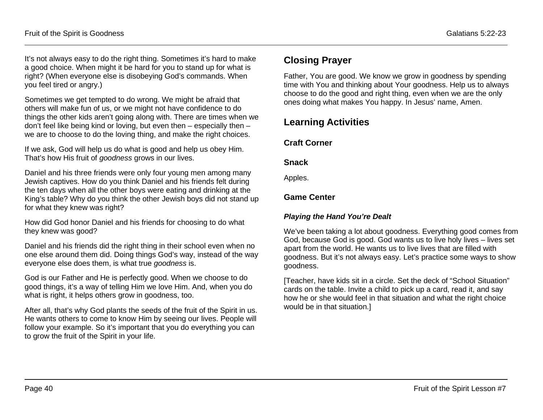It's not always easy to do the right thing. Sometimes it's hard to make a good choice. When might it be hard for you to stand up for what is right? (When everyone else is disobeying God's commands. When you feel tired or angry.)

Sometimes we get tempted to do wrong. We might be afraid that others will make fun of us, or we might not have confidence to do things the other kids aren't going along with. There are times when we don't feel like being kind or loving, but even then – especially then – we are to choose to do the loving thing, and make the right choices.

If we ask, God will help us do what is good and help us obey Him. That's how His fruit of *goodness* grows in our lives.

Daniel and his three friends were only four young men among many Jewish captives. How do you think Daniel and his friends felt during the ten days when all the other boys were eating and drinking at the King's table? Why do you think the other Jewish boys did not stand up for what they knew was right?

How did God honor Daniel and his friends for choosing to do what they knew was good?

Daniel and his friends did the right thing in their school even when no one else around them did. Doing things God's way, instead of the way everyone else does them, is what true *goodness* is.

God is our Father and He is perfectly good. When we choose to do good things, it's a way of telling Him we love Him. And, when you do what is right, it helps others grow in goodness, too.

After all, that's why God plants the seeds of the fruit of the Spirit in us. He wants others to come to know Him by seeing our lives. People will follow your example. So it's important that you do everything you can to grow the fruit of the Spirit in your life.

# **Closing Prayer**

Father, You are good. We know we grow in goodness by spending time with You and thinking about Your goodness. Help us to always choose to do the good and right thing, even when we are the only ones doing what makes You happy. In Jesus' name, Amen.

# **Learning Activities**

### **Craft Corner**

### **Snack**

Apples.

### **Game Center**

### *Playing the Hand You're Dealt*

We've been taking a lot about goodness. Everything good comes from God, because God is good. God wants us to live holy lives – lives set apart from the world. He wants us to live lives that are filled with goodness. But it's not always easy. Let's practice some ways to show goodness.

[Teacher, have kids sit in a circle. Set the deck of "School Situation" cards on the table. Invite a child to pick up a card, read it, and say how he or she would feel in that situation and what the right choice would be in that situation.]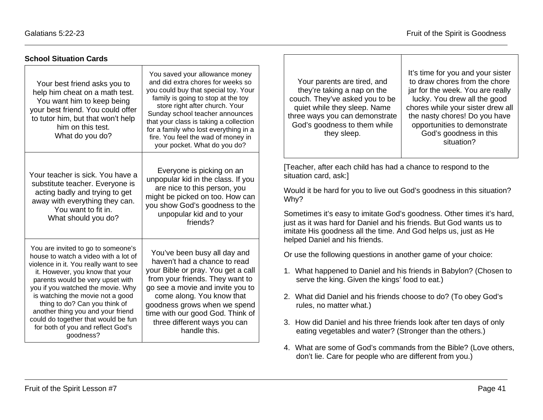| <b>School Situation Cards</b>                                                                                                                                                                                                                                                                                                                                                                                                       |                                                                                                                                                                                                                                                                                                                                                                                 |                                                                                                                                                                                                                                                                                                                                                                                                                                                                                                       |
|-------------------------------------------------------------------------------------------------------------------------------------------------------------------------------------------------------------------------------------------------------------------------------------------------------------------------------------------------------------------------------------------------------------------------------------|---------------------------------------------------------------------------------------------------------------------------------------------------------------------------------------------------------------------------------------------------------------------------------------------------------------------------------------------------------------------------------|-------------------------------------------------------------------------------------------------------------------------------------------------------------------------------------------------------------------------------------------------------------------------------------------------------------------------------------------------------------------------------------------------------------------------------------------------------------------------------------------------------|
| Your best friend asks you to<br>help him cheat on a math test.<br>You want him to keep being<br>your best friend. You could offer<br>to tutor him, but that won't help<br>him on this test.<br>What do you do?                                                                                                                                                                                                                      | You saved your allowance money<br>and did extra chores for weeks so<br>you could buy that special toy. Your<br>family is going to stop at the toy<br>store right after church. Your<br>Sunday school teacher announces<br>that your class is taking a collection<br>for a family who lost everything in a<br>fire. You feel the wad of money in<br>your pocket. What do you do? | It's time for you and your sister<br>to draw chores from the chore<br>Your parents are tired, and<br>they're taking a nap on the<br>jar for the week. You are really<br>couch. They've asked you to be<br>lucky. You drew all the good<br>quiet while they sleep. Name<br>chores while your sister drew all<br>the nasty chores! Do you have<br>three ways you can demonstrate<br>God's goodness to them while<br>opportunities to demonstrate<br>God's goodness in this<br>they sleep.<br>situation? |
| Your teacher is sick. You have a<br>substitute teacher. Everyone is<br>acting badly and trying to get<br>away with everything they can.<br>You want to fit in.<br>What should you do?                                                                                                                                                                                                                                               | Everyone is picking on an<br>unpopular kid in the class. If you<br>are nice to this person, you<br>might be picked on too. How can<br>you show God's goodness to the<br>unpopular kid and to your<br>friends?                                                                                                                                                                   | [Teacher, after each child has had a chance to respond to the<br>situation card, ask:]<br>Would it be hard for you to live out God's goodness in this situation?<br>Why?<br>Sometimes it's easy to imitate God's goodness. Other times it's hard,<br>just as it was hard for Daniel and his friends. But God wants us to<br>imitate His goodness all the time. And God helps us, just as He<br>helped Daniel and his friends.                                                                         |
| You are invited to go to someone's<br>house to watch a video with a lot of<br>violence in it. You really want to see<br>it. However, you know that your<br>parents would be very upset with<br>you if you watched the movie. Why<br>is watching the movie not a good<br>thing to do? Can you think of<br>another thing you and your friend<br>could do together that would be fun<br>for both of you and reflect God's<br>goodness? | You've been busy all day and<br>haven't had a chance to read<br>your Bible or pray. You get a call<br>from your friends. They want to<br>go see a movie and invite you to<br>come along. You know that<br>goodness grows when we spend<br>time with our good God. Think of<br>three different ways you can<br>handle this.                                                      | Or use the following questions in another game of your choice:<br>1. What happened to Daniel and his friends in Babylon? (Chosen to<br>serve the king. Given the kings' food to eat.)<br>2. What did Daniel and his friends choose to do? (To obey God's<br>rules, no matter what.)<br>3. How did Daniel and his three friends look after ten days of only<br>eating vegetables and water? (Stronger than the others.)                                                                                |

4. What are some of God's commands from the Bible? (Love others, don't lie. Care for people who are different from you.)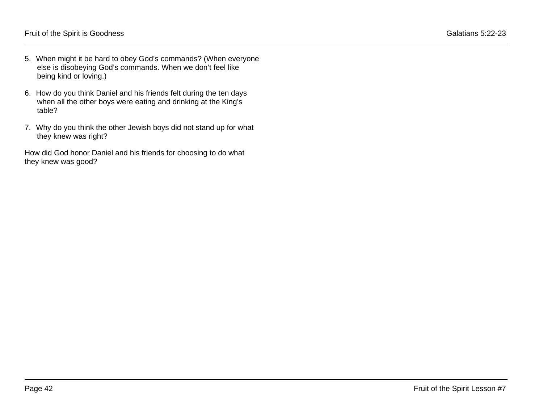- 5. When might it be hard to obey God's commands? (When everyone else is disobeying God's commands. When we don't feel like being kind or loving.)
- 6. How do you think Daniel and his friends felt during the ten days when all the other boys were eating and drinking at the King's table?
- 7. Why do you think the other Jewish boys did not stand up for what they knew was right?

How did God honor Daniel and his friends for choosing to do what they knew was good?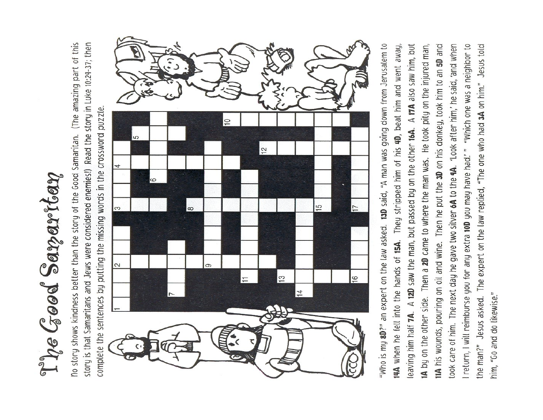The Good Samaritan

story is that Samaritans and Jews were considered enemies!) Read the story in Luke 10:24-37; then Tho story shows kindness better than the story of the Good Samaritan. (The amazing part of this complete the sentences by putting the missing words in the crossword puzzle.



"Who is my 8D?" an expert on the law asked. 13D said, "A man was going down from Jerusalem to 11A his wounds, pouring on oil and wine. Then he put the 3D on his donkey, took him to an 5D and took care of him. The next day he gave two silver 6A to the 9A. 'Look after him,' he said, 'and when I return, I will reimburse you for any extra 10D you may have had? " "Which one was a neighbor to the man?" Jesus asked. The expert on the law replied, "The one who had 3A on him." Jesus told 14A when he fell into the hands of 15A. They stripped him of his 4D, beat him and went away, leaving him half 7A. A 12D saw the man, but passed by on the other 16A. A 17A also saw him, but IA by on the other side. Then a 2D came to where the man was. He took pity on the injured man, him, "Go and do likewise."